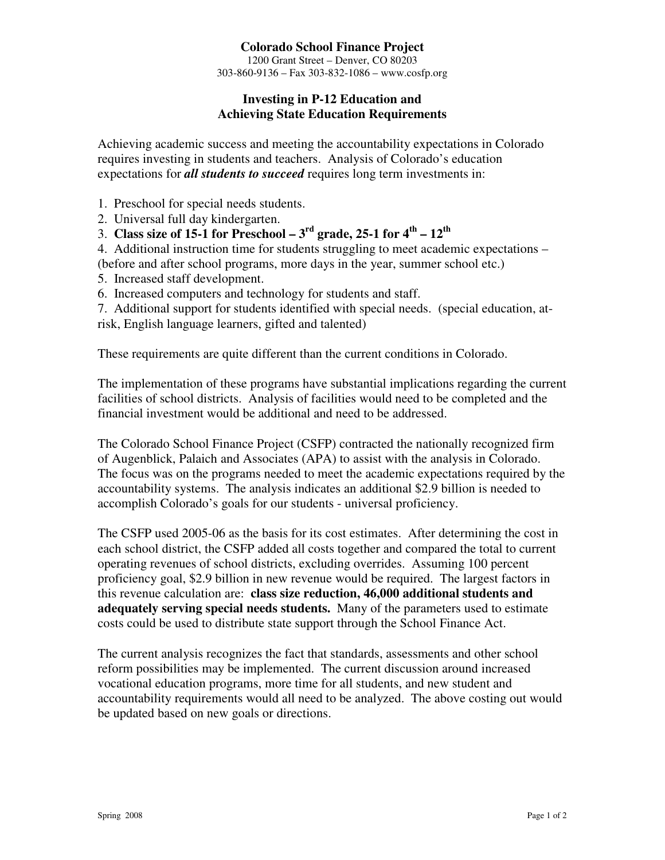# **Colorado School Finance Project**

1200 Grant Street – Denver, CO 80203 303-860-9136 – Fax 303-832-1086 – www.cosfp.org

## **Investing in P-12 Education and Achieving State Education Requirements**

Achieving academic success and meeting the accountability expectations in Colorado requires investing in students and teachers. Analysis of Colorado's education expectations for *all students to succeed* requires long term investments in:

- 1. Preschool for special needs students.
- 2. Universal full day kindergarten.
- 3. **Class size of 15-1 for Preschool 3<sup>rd</sup> grade, 25-1 for**  $4^{th}$  $12^{th}$

4. Additional instruction time for students struggling to meet academic expectations – (before and after school programs, more days in the year, summer school etc.)

- 5. Increased staff development.
- 6. Increased computers and technology for students and staff.

7. Additional support for students identified with special needs. (special education, atrisk, English language learners, gifted and talented)

These requirements are quite different than the current conditions in Colorado.

The implementation of these programs have substantial implications regarding the current facilities of school districts. Analysis of facilities would need to be completed and the financial investment would be additional and need to be addressed.

The Colorado School Finance Project (CSFP) contracted the nationally recognized firm of Augenblick, Palaich and Associates (APA) to assist with the analysis in Colorado. The focus was on the programs needed to meet the academic expectations required by the accountability systems. The analysis indicates an additional \$2.9 billion is needed to accomplish Colorado's goals for our students - universal proficiency.

The CSFP used 2005-06 as the basis for its cost estimates. After determining the cost in each school district, the CSFP added all costs together and compared the total to current operating revenues of school districts, excluding overrides. Assuming 100 percent proficiency goal, \$2.9 billion in new revenue would be required. The largest factors in this revenue calculation are: **class size reduction, 46,000 additional students and adequately serving special needs students.** Many of the parameters used to estimate costs could be used to distribute state support through the School Finance Act.

The current analysis recognizes the fact that standards, assessments and other school reform possibilities may be implemented. The current discussion around increased vocational education programs, more time for all students, and new student and accountability requirements would all need to be analyzed. The above costing out would be updated based on new goals or directions.